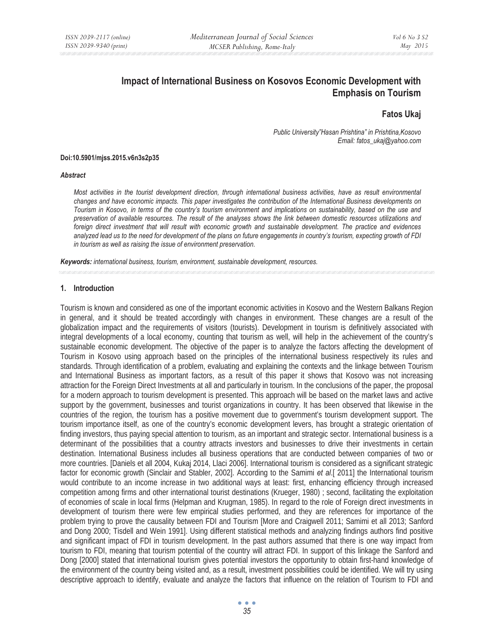# **Impact of International Business on Kosovos Economic Development with Emphasis on Tourism**

## **Fatos Ukaj**

*Public University"Hasan Prishtina" in Prishtina,Kosovo Email: fatos\_ukaj@yahoo.com* 

#### **Doi:10.5901/mjss.2015.v6n3s2p35**

#### *Abstract*

*Most activities in the tourist development direction, through international business activities, have as result environmental changes and have economic impacts. This paper investigates the contribution of the International Business developments on Tourism in Kosovo, in terms of the country's tourism environment and implications on sustainability, based on the use and preservation of available resources. The result of the analyses shows the link between domestic resources utilizations and*  foreign direct investment that will result with economic growth and sustainable development. The practice and evidences *analyzed lead us to the need for development of the plans on future engagements in country's tourism, expecting growth of FDI in tourism as well as raising the issue of environment preservation.* 

*Keywords: international business, tourism, environment, sustainable development, resources.* 

#### **1. Introduction**

Tourism is known and considered as one of the important economic activities in Kosovo and the Western Balkans Region in general, and it should be treated accordingly with changes in environment. These changes are a result of the globalization impact and the requirements of visitors (tourists). Development in tourism is definitively associated with integral developments of a local economy, counting that tourism as well, will help in the achievement of the country's sustainable economic development. The objective of the paper is to analyze the factors affecting the development of Tourism in Kosovo using approach based on the principles of the international business respectively its rules and standards. Through identification of a problem, evaluating and explaining the contexts and the linkage between Tourism and International Business as important factors, as a result of this paper it shows that Kosovo was not increasing attraction for the Foreign Direct Investments at all and particularly in tourism. In the conclusions of the paper, the proposal for a modern approach to tourism development is presented. This approach will be based on the market laws and active support by the government, businesses and tourist organizations in country. It has been observed that likewise in the countries of the region, the tourism has a positive movement due to government's tourism development support. The tourism importance itself, as one of the country's economic development levers, has brought a strategic orientation of finding investors, thus paying special attention to tourism, as an important and strategic sector. International business is a determinant of the possibilities that a country attracts investors and businesses to drive their investments in certain destination. International Business includes all business operations that are conducted between companies of two or more countries. [Daniels et all 2004, Kukaj 2014, Llaci 2006]. International tourism is considered as a significant strategic factor for economic growth (Sinclair and Stabler, 2002]. According to the Samimi *et al*.[ 2011] the International tourism would contribute to an income increase in two additional ways at least: first, enhancing efficiency through increased competition among firms and other international tourist destinations (Krueger, 1980) ; second, facilitating the exploitation of economies of scale in local firms (Helpman and Krugman, 1985). In regard to the role of Foreign direct investments in development of tourism there were few empirical studies performed, and they are references for importance of the problem trying to prove the causality between FDI and Tourism [More and Craigwell 2011; Samimi et all 2013; Sanford and Dong 2000; Tisdell and Wein 1991]. Using different statistical methods and analyzing findings authors find positive and significant impact of FDI in tourism development. In the past authors assumed that there is one way impact from tourism to FDI, meaning that tourism potential of the country will attract FDI. In support of this linkage the Sanford and Dong [2000] stated that international tourism gives potential investors the opportunity to obtain first-hand knowledge of the environment of the country being visited and, as a result, investment possibilities could be identified. We will try using descriptive approach to identify, evaluate and analyze the factors that influence on the relation of Tourism to FDI and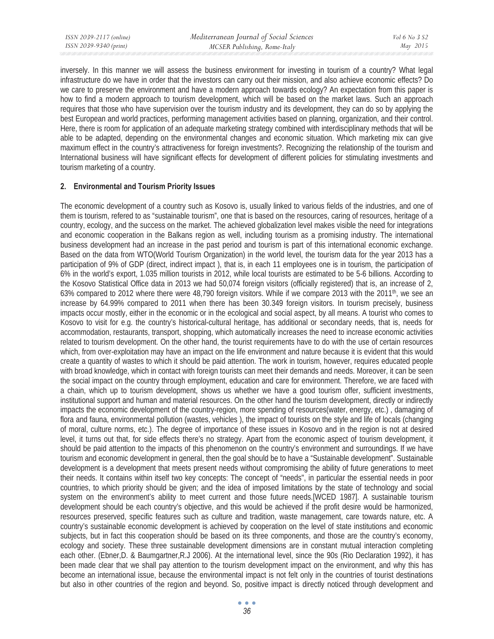inversely. In this manner we will assess the business environment for investing in tourism of a country? What legal infrastructure do we have in order that the investors can carry out their mission, and also achieve economic effects? Do we care to preserve the environment and have a modern approach towards ecology? An expectation from this paper is how to find a modern approach to tourism development, which will be based on the market laws. Such an approach requires that those who have supervision over the tourism industry and its development, they can do so by applying the best European and world practices, performing management activities based on planning, organization, and their control. Here, there is room for application of an adequate marketing strategy combined with interdisciplinary methods that will be able to be adapted, depending on the environmental changes and economic situation. Which marketing mix can give maximum effect in the country's attractiveness for foreign investments?. Recognizing the relationship of the tourism and International business will have significant effects for development of different policies for stimulating investments and tourism marketing of a country.

## **2. Environmental and Tourism Priority Issues**

The economic development of a country such as Kosovo is, usually linked to various fields of the industries, and one of them is tourism, refered to as "sustainable tourism", one that is based on the resources, caring of resources, heritage of a country, ecology, and the success on the market. The achieved globalization level makes visible the need for integrations and economic cooperation in the Balkans region as well, including tourism as a promising industry. The international business development had an increase in the past period and tourism is part of this international economic exchange. Based on the data from WTO(World Tourism Organization) in the world level, the tourism data for the year 2013 has a participation of 9% of GDP (direct, indirect impact ), that is, in each 11 employees one is in tourism, the participation of 6% in the world's export, 1.035 million tourists in 2012, while local tourists are estimated to be 5-6 billions. According to the Kosovo Statistical Office data in 2013 we had 50,074 foreign visitors (officially registered) that is, an increase of 2, 63% compared to 2012 where there were 48,790 foreign visitors. While if we compare 2013 with the 2011<sup>th</sup>, we see an increase by 64.99% compared to 2011 when there has been 30.349 foreign visitors. In tourism precisely, business impacts occur mostly, either in the economic or in the ecological and social aspect, by all means. A tourist who comes to Kosovo to visit for e.g. the country's historical-cultural heritage, has additional or secondary needs, that is, needs for accommodation, restaurants, transport, shopping, which automatically increases the need to increase economic activities related to tourism development. On the other hand, the tourist requirements have to do with the use of certain resources which, from over-exploitation may have an impact on the life environment and nature because it is evident that this would create a quantity of wastes to which it should be paid attention. The work in tourism, however, requires educated people with broad knowledge, which in contact with foreign tourists can meet their demands and needs. Moreover, it can be seen the social impact on the country through employment, education and care for environment. Therefore, we are faced with a chain, which up to tourism development, shows us whether we have a good tourism offer, sufficient investments, institutional support and human and material resources. On the other hand the tourism development, directly or indirectly impacts the economic development of the country-region, more spending of resources(water, energy, etc.) , damaging of flora and fauna, environmental pollution (wastes, vehicles ), the impact of tourists on the style and life of locals (changing of moral, culture norms, etc.). The degree of importance of these issues in Kosovo and in the region is not at desired level, it turns out that, for side effects there's no strategy. Apart from the economic aspect of tourism development, it should be paid attention to the impacts of this phenomenon on the country's environment and surroundings. If we have tourism and economic development in general, then the goal should be to have a "Sustainable development". Sustainable development is a development that meets present needs without compromising the ability of future generations to meet their needs. It contains within itself two key concepts: The concept of "needs", in particular the essential needs in poor countries, to which priority should be given; and the idea of imposed limitations by the state of technology and social system on the environment's ability to meet current and those future needs.[WCED 1987]. A sustainable tourism development should be each country's objective, and this would be achieved if the profit desire would be harmonized, resources preserved, specific features such as culture and tradition, waste management, care towards nature, etc. A country's sustainable economic development is achieved by cooperation on the level of state institutions and economic subjects, but in fact this cooperation should be based on its three components, and those are the country's economy, ecology and society. These three sustainable development dimensions are in constant mutual interaction completing each other. (Ebner,D. & Baumgartner,R.J 2006). At the international level, since the 90s (Rio Declaration 1992), it has been made clear that we shall pay attention to the tourism development impact on the environment, and why this has become an international issue, because the environmental impact is not felt only in the countries of tourist destinations but also in other countries of the region and beyond. So, positive impact is directly noticed through development and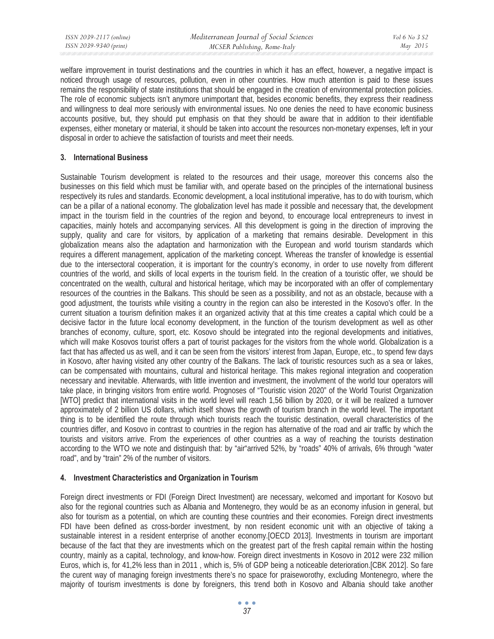welfare improvement in tourist destinations and the countries in which it has an effect, however, a negative impact is noticed through usage of resources, pollution, even in other countries. How much attention is paid to these issues remains the responsibility of state institutions that should be engaged in the creation of environmental protection policies. The role of economic subjects isn't anymore unimportant that, besides economic benefits, they express their readiness and willingness to deal more seriously with environmental issues. No one denies the need to have economic business accounts positive, but, they should put emphasis on that they should be aware that in addition to their identifiable expenses, either monetary or material, it should be taken into account the resources non-monetary expenses, left in your disposal in order to achieve the satisfaction of tourists and meet their needs.

## **3. International Business**

Sustainable Tourism development is related to the resources and their usage, moreover this concerns also the businesses on this field which must be familiar with, and operate based on the principles of the international business respectively its rules and standards. Economic development, a local institutional imperative, has to do with tourism, which can be a pillar of a national economy. The globalization level has made it possible and necessary that, the development impact in the tourism field in the countries of the region and beyond, to encourage local entrepreneurs to invest in capacities, mainly hotels and accompanying services. All this development is going in the direction of improving the supply, quality and care for visitors, by application of a marketing that remains desirable. Development in this globalization means also the adaptation and harmonization with the European and world tourism standards which requires a different management, application of the marketing concept. Whereas the transfer of knowledge is essential due to the intersectoral cooperation, it is important for the country's economy, in order to use novelty from different countries of the world, and skills of local experts in the tourism field. In the creation of a touristic offer, we should be concentrated on the wealth, cultural and historical heritage, which may be incorporated with an offer of complementary resources of the countries in the Balkans. This should be seen as a possibility, and not as an obstacle, because with a good adjustment, the tourists while visiting a country in the region can also be interested in the Kosovo's offer. In the current situation a tourism definition makes it an organized activity that at this time creates a capital which could be a decisive factor in the future local economy development, in the function of the tourism development as well as other branches of economy, culture, sport, etc. Kosovo should be integrated into the regional developments and initiatives, which will make Kosovos tourist offers a part of tourist packages for the visitors from the whole world. Globalization is a fact that has affected us as well, and it can be seen from the visitors' interest from Japan, Europe, etc., to spend few days in Kosovo, after having visited any other country of the Balkans. The lack of touristic resources such as a sea or lakes, can be compensated with mountains, cultural and historical heritage. This makes regional integration and cooperation necessary and inevitable. Afterwards, with little invention and investment, the involvment of the world tour operators will take place, in bringing visitors from entire world. Prognoses of "Touristic vision 2020" of the World Tourist Organization [WTO] predict that international visits in the world level will reach 1,56 billion by 2020, or it will be realized a turnover approximately of 2 billion US dollars, which itself shows the growth of tourism branch in the world level. The important thing is to be identified the route through which tourists reach the touristic destination, overall characteristics of the countries differ, and Kosovo in contrast to countries in the region has alternative of the road and air traffic by which the tourists and visitors arrive. From the experiences of other countries as a way of reaching the tourists destination according to the WTO we note and distinguish that: by "air"arrived 52%, by "roads" 40% of arrivals, 6% through "water road", and by "train" 2% of the number of visitors.

# **4. Investment Characteristics and Organization in Tourism**

Foreign direct investments or FDI (Foreign Direct Investment) are necessary, welcomed and important for Kosovo but also for the regional countries such as Albania and Montenegro, they would be as an economy infusion in general, but also for tourism as a potential, on which are counting these countries and their economies. Foreign direct investments FDI have been defined as cross-border investment, by non resident economic unit with an objective of taking a sustainable interest in a resident enterprise of another economy.[OECD 2013]. Investments in tourism are important because of the fact that they are investments which on the greatest part of the fresh capital remain within the hosting country, mainly as a capital, technology, and know-how. Foreign direct investments in Kosovo in 2012 were 232 million Euros, which is, for 41,2% less than in 2011 , which is, 5% of GDP being a noticeable deterioration.[CBK 2012]. So fare the curent way of managing foreign investments there's no space for praiseworothy, excluding Montenegro, where the majority of tourism investments is done by foreigners, this trend both in Kosovo and Albania should take another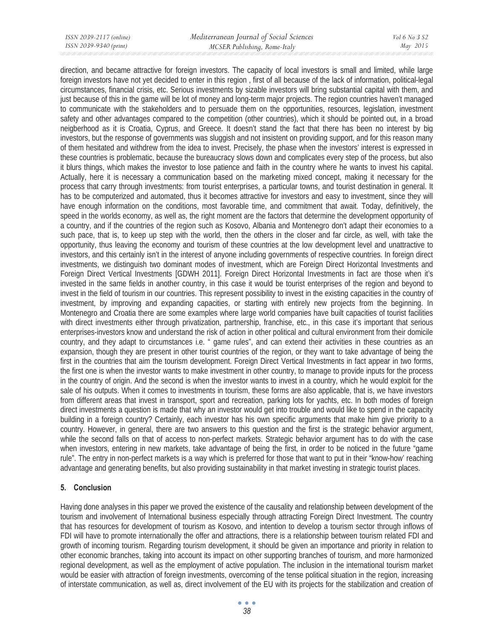direction, and became attractive for foreign investors. The capacity of local investors is small and limited, while large foreign investors have not yet decided to enter in this region , first of all because of the lack of information, political-legal circumstances, financial crisis, etc. Serious investments by sizable investors will bring substantial capital with them, and just because of this in the game will be lot of money and long-term major projects. The region countries haven't managed to communicate with the stakeholders and to persuade them on the opportunities, resources, legislation, investment safety and other advantages compared to the competition (other countries), which it should be pointed out, in a broad neigberhood as it is Croatia, Cyprus, and Greece. It doesn't stand the fact that there has been no interest by big investors, but the response of governments was sluggish and not insistent on providing support, and for this reason many of them hesitated and withdrew from the idea to invest. Precisely, the phase when the investors' interest is expressed in these countries is problematic, because the bureaucracy slows down and complicates every step of the process, but also it blurs things, which makes the investor to lose patience and faith in the country where he wants to invest his capital. Actually, here it is necessary a communication based on the marketing mixed concept, making it necessary for the process that carry through investments: from tourist enterprises, a particular towns, and tourist destination in general. It has to be computerized and automated, thus it becomes attractive for investors and easy to investment, since they will have enough information on the conditions, most favorable time, and commitment that await. Today, definitively, the speed in the worlds economy, as well as, the right moment are the factors that determine the development opportunity of a country, and if the countries of the region such as Kosovo, Albania and Montenegro don't adapt their economies to a such pace, that is, to keep up step with the world, then the others in the closer and far circle, as well, with take the opportunity, thus leaving the economy and tourism of these countries at the low development level and unattractive to investors, and this certainly isn't in the interest of anyone including governments of respective countries. In foreign direct investments, we distinguish two dominant modes of investment, which are Foreign Direct Horizontal Investments and Foreign Direct Vertical Investments [GDWH 2011]. Foreign Direct Horizontal Investments in fact are those when it's invested in the same fields in another country, in this case it would be tourist enterprises of the region and beyond to invest in the field of tourism in our countries. This represent possibility to invest in the existing capacities in the country of investment, by improving and expanding capacities, or starting with entirely new projects from the beginning. In Montenegro and Croatia there are some examples where large world companies have built capacities of tourist facilities with direct investments either through privatization, partnership, franchise, etc., in this case it's important that serious enterprises-investors know and understand the risk of action in other political and cultural environment from their domicile country, and they adapt to circumstances i.e. " game rules", and can extend their activities in these countries as an expansion, though they are present in other tourist countries of the region, or they want to take advantage of being the first in the countries that aim the tourism development. Foreign Direct Vertical Investments in fact appear in two forms, the first one is when the investor wants to make investment in other country, to manage to provide inputs for the process in the country of origin. And the second is when the investor wants to invest in a country, which he would exploit for the sale of his outputs. When it comes to investments in tourism, these forms are also applicable, that is, we have investors from different areas that invest in transport, sport and recreation, parking lots for yachts, etc. In both modes of foreign direct investments a question is made that why an investor would get into trouble and would like to spend in the capacity building in a foreign country? Certainly, each investor has his own specific arguments that make him give priority to a country. However, in general, there are two answers to this question and the first is the strategic behavior argument, while the second falls on that of access to non-perfect markets. Strategic behavior argument has to do with the case when investors, entering in new markets, take advantage of being the first, in order to be noticed in the future "game rule". The entry in non-perfect markets is a way which is preferred for those that want to put in their "know-how' reaching advantage and generating benefits, but also providing sustainability in that market investing in strategic tourist places.

### **5. Conclusion**

Having done analyses in this paper we proved the existence of the causality and relationship between development of the tourism and involvement of International business especially through attracting Foreign Direct Investment. The country that has resources for development of tourism as Kosovo, and intention to develop a tourism sector through inflows of FDI will have to promote internationally the offer and attractions, there is a relationship between tourism related FDI and growth of incoming tourism. Regarding tourism development, it should be given an importance and priority in relation to other economic branches, taking into account its impact on other supporting branches of tourism, and more harmonized regional development, as well as the employment of active population. The inclusion in the international tourism market would be easier with attraction of foreign investments, overcoming of the tense political situation in the region, increasing of interstate communication, as well as, direct involvement of the EU with its projects for the stabilization and creation of